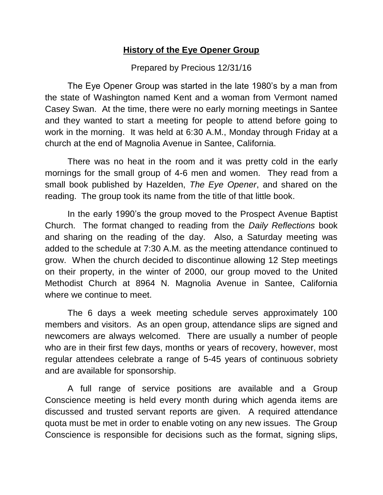## **History of the Eye Opener Group**

## Prepared by Precious 12/31/16

The Eye Opener Group was started in the late 1980's by a man from the state of Washington named Kent and a woman from Vermont named Casey Swan. At the time, there were no early morning meetings in Santee and they wanted to start a meeting for people to attend before going to work in the morning. It was held at 6:30 A.M., Monday through Friday at a church at the end of Magnolia Avenue in Santee, California.

There was no heat in the room and it was pretty cold in the early mornings for the small group of 4-6 men and women. They read from a small book published by Hazelden, *The Eye Opener*, and shared on the reading. The group took its name from the title of that little book.

In the early 1990's the group moved to the Prospect Avenue Baptist Church. The format changed to reading from the *Daily Reflections* book and sharing on the reading of the day. Also, a Saturday meeting was added to the schedule at 7:30 A.M. as the meeting attendance continued to grow. When the church decided to discontinue allowing 12 Step meetings on their property, in the winter of 2000, our group moved to the United Methodist Church at 8964 N. Magnolia Avenue in Santee, California where we continue to meet.

The 6 days a week meeting schedule serves approximately 100 members and visitors. As an open group, attendance slips are signed and newcomers are always welcomed. There are usually a number of people who are in their first few days, months or years of recovery, however, most regular attendees celebrate a range of 5-45 years of continuous sobriety and are available for sponsorship.

A full range of service positions are available and a Group Conscience meeting is held every month during which agenda items are discussed and trusted servant reports are given. A required attendance quota must be met in order to enable voting on any new issues. The Group Conscience is responsible for decisions such as the format, signing slips,